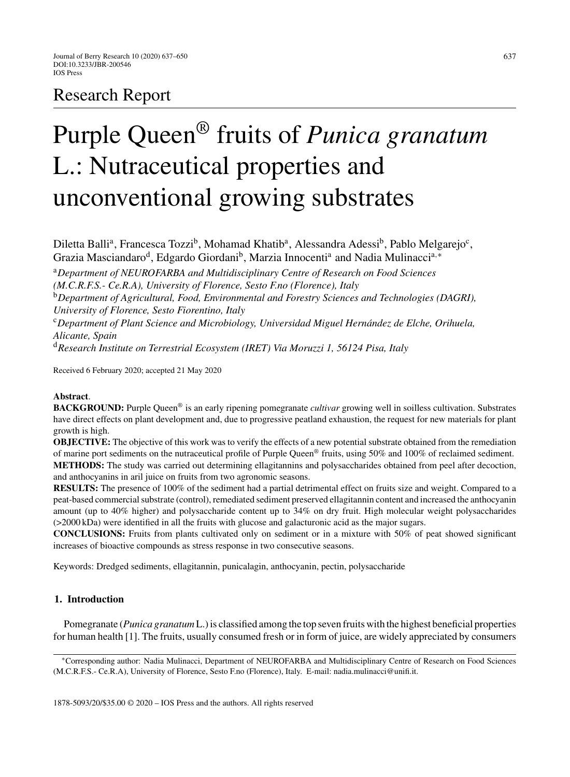# Research Report

# Purple Queen® fruits of *Punica granatum* L.: Nutraceutical properties and unconventional growing substrates

Diletta Balli<sup>a</sup>, Francesca Tozzi<sup>b</sup>, Mohamad Khatib<sup>a</sup>, Alessandra Adessi<sup>b</sup>, Pablo Melgarejo<sup>c</sup>, Grazia Masciandaro<sup>d</sup>, Edgardo Giordani<sup>b</sup>, Marzia Innocenti<sup>a</sup> and Nadia Mulinacci<sup>a,∗</sup>

<sup>a</sup>*Department of NEUROFARBA and Multidisciplinary Centre of Research on Food Sciences*

*(M.C.R.F.S.- Ce.R.A), University of Florence, Sesto F.no (Florence), Italy*

<sup>b</sup>*Department of Agricultural, Food, Environmental and Forestry Sciences and Technologies (DAGRI), University of Florence, Sesto Fiorentino, Italy*

<sup>c</sup>*Department of Plant Science and Microbiology, Universidad Miguel Hern ´andez de Elche, Orihuela, Alicante, Spain*

<sup>d</sup>*Research Institute on Terrestrial Ecosystem (IRET) Via Moruzzi 1, 56124 Pisa, Italy*

Received 6 February 2020; accepted 21 May 2020

# **Abstract**.

**BACKGROUND:** Purple Queen® is an early ripening pomegranate *cultivar* growing well in soilless cultivation. Substrates have direct effects on plant development and, due to progressive peatland exhaustion, the request for new materials for plant growth is high.

**OBJECTIVE:** The objective of this work was to verify the effects of a new potential substrate obtained from the remediation of marine port sediments on the nutraceutical profile of Purple Queen® fruits, using 50% and 100% of reclaimed sediment. **METHODS:** The study was carried out determining ellagitannins and polysaccharides obtained from peel after decoction, and anthocyanins in aril juice on fruits from two agronomic seasons.

**RESULTS:** The presence of 100% of the sediment had a partial detrimental effect on fruits size and weight. Compared to a peat-based commercial substrate (control), remediated sediment preserved ellagitannin content and increased the anthocyanin amount (up to 40% higher) and polysaccharide content up to 34% on dry fruit. High molecular weight polysaccharides (>2000 kDa) were identified in all the fruits with glucose and galacturonic acid as the major sugars.

**CONCLUSIONS:** Fruits from plants cultivated only on sediment or in a mixture with 50% of peat showed significant increases of bioactive compounds as stress response in two consecutive seasons.

Keywords: Dredged sediments, ellagitannin, punicalagin, anthocyanin, pectin, polysaccharide

# **1. Introduction**

Pomegranate (*Punica granatum* L.) is classified among the top seven fruits with the highest beneficial properties for human health [1]. The fruits, usually consumed fresh or in form of juice, are widely appreciated by consumers

<sup>∗</sup>Corresponding author: Nadia Mulinacci, Department of NEUROFARBA and Multidisciplinary Centre of Research on Food Sciences (M.C.R.F.S.- Ce.R.A), University of Florence, Sesto F.no (Florence), Italy. E-mail: [nadia.mulinacci@unifi.it.](mailto:nadia.mulinacci@unifi.it)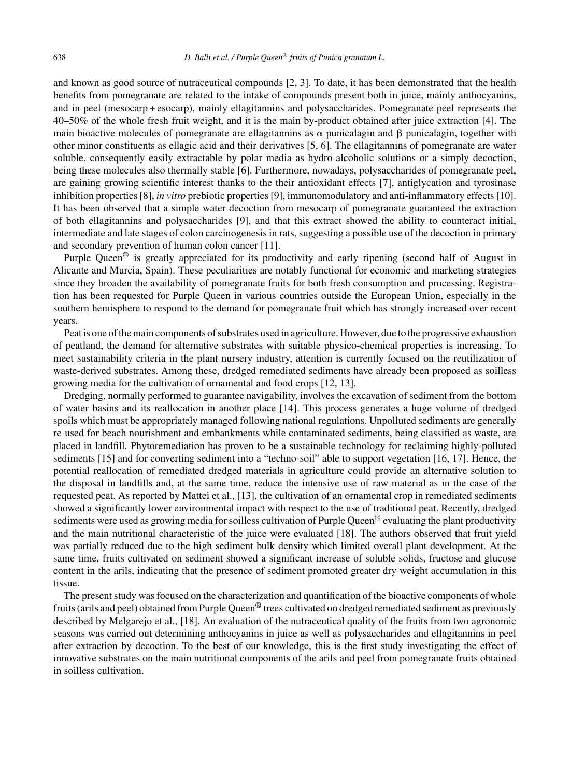and known as good source of nutraceutical compounds [2, 3]. To date, it has been demonstrated that the health benefits from pomegranate are related to the intake of compounds present both in juice, mainly anthocyanins, and in peel (mesocarp + esocarp), mainly ellagitannins and polysaccharides. Pomegranate peel represents the 40–50% of the whole fresh fruit weight, and it is the main by-product obtained after juice extraction [4]. The main bioactive molecules of pomegranate are ellagitannins as  $\alpha$  punicalagin and  $\beta$  punicalagin, together with other minor constituents as ellagic acid and their derivatives [5, 6]. The ellagitannins of pomegranate are water soluble, consequently easily extractable by polar media as hydro-alcoholic solutions or a simply decoction, being these molecules also thermally stable [6]. Furthermore, nowadays, polysaccharides of pomegranate peel, are gaining growing scientific interest thanks to the their antioxidant effects [7], antiglycation and tyrosinase inhibition properties [8], *in vitro* prebiotic properties [9], immunomodulatory and anti-inflammatory effects [10]. It has been observed that a simple water decoction from mesocarp of pomegranate guaranteed the extraction of both ellagitannins and polysaccharides [9], and that this extract showed the ability to counteract initial, intermediate and late stages of colon carcinogenesis in rats, suggesting a possible use of the decoction in primary and secondary prevention of human colon cancer [11].

Purple Queen<sup>®</sup> is greatly appreciated for its productivity and early ripening (second half of August in Alicante and Murcia, Spain). These peculiarities are notably functional for economic and marketing strategies since they broaden the availability of pomegranate fruits for both fresh consumption and processing. Registration has been requested for Purple Queen in various countries outside the European Union, especially in the southern hemisphere to respond to the demand for pomegranate fruit which has strongly increased over recent years.

Peat is one of the main components of substrates used in agriculture. However, due to the progressive exhaustion of peatland, the demand for alternative substrates with suitable physico-chemical properties is increasing. To meet sustainability criteria in the plant nursery industry, attention is currently focused on the reutilization of waste-derived substrates. Among these, dredged remediated sediments have already been proposed as soilless growing media for the cultivation of ornamental and food crops [12, 13].

Dredging, normally performed to guarantee navigability, involves the excavation of sediment from the bottom of water basins and its reallocation in another place [14]. This process generates a huge volume of dredged spoils which must be appropriately managed following national regulations. Unpolluted sediments are generally re-used for beach nourishment and embankments while contaminated sediments, being classified as waste, are placed in landfill. Phytoremediation has proven to be a sustainable technology for reclaiming highly-polluted sediments [15] and for converting sediment into a "techno-soil" able to support vegetation [16, 17]. Hence, the potential reallocation of remediated dredged materials in agriculture could provide an alternative solution to the disposal in landfills and, at the same time, reduce the intensive use of raw material as in the case of the requested peat. As reported by Mattei et al., [13], the cultivation of an ornamental crop in remediated sediments showed a significantly lower environmental impact with respect to the use of traditional peat. Recently, dredged sediments were used as growing media for soilless cultivation of Purple Queen<sup>®</sup> evaluating the plant productivity and the main nutritional characteristic of the juice were evaluated [18]. The authors observed that fruit yield was partially reduced due to the high sediment bulk density which limited overall plant development. At the same time, fruits cultivated on sediment showed a significant increase of soluble solids, fructose and glucose content in the arils, indicating that the presence of sediment promoted greater dry weight accumulation in this tissue.

The present study was focused on the characterization and quantification of the bioactive components of whole fruits (arils and peel) obtained from Purple Queen<sup>®</sup> trees cultivated on dredged remediated sediment as previously described by Melgarejo et al., [18]. An evaluation of the nutraceutical quality of the fruits from two agronomic seasons was carried out determining anthocyanins in juice as well as polysaccharides and ellagitannins in peel after extraction by decoction. To the best of our knowledge, this is the first study investigating the effect of innovative substrates on the main nutritional components of the arils and peel from pomegranate fruits obtained in soilless cultivation.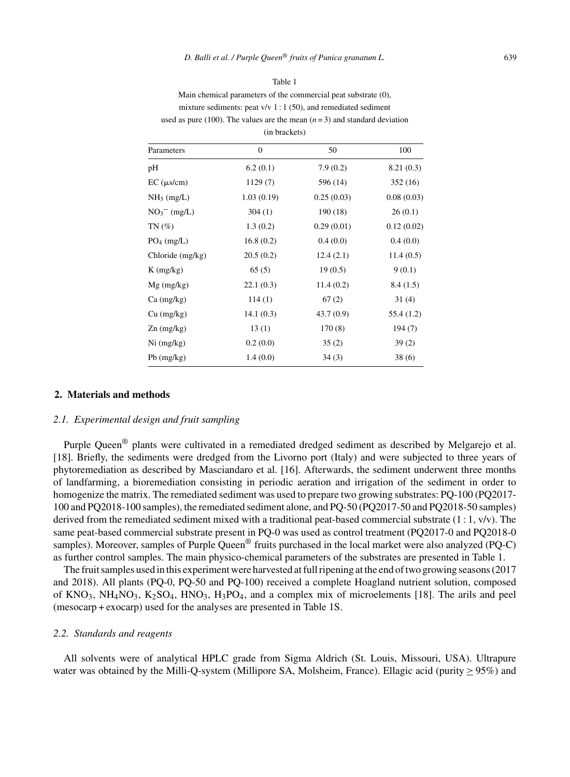| ۰,<br>I |  |
|---------|--|

Main chemical parameters of the commercial peat substrate (0), mixture sediments: peat v/v 1 : 1 (50), and remediated sediment used as pure (100). The values are the mean  $(n=3)$  and standard deviation (in brackets)

| Parameters         | $\mathbf{0}$ | 50         | 100        |  |  |  |  |
|--------------------|--------------|------------|------------|--|--|--|--|
| pH                 | 6.2(0.1)     | 7.9(0.2)   | 8.21(0.3)  |  |  |  |  |
| $EC$ ( $\mu$ s/cm) | 1129(7)      | 596 (14)   | 352(16)    |  |  |  |  |
| $NH_3$ (mg/L)      | 1.03(0.19)   | 0.25(0.03) | 0.08(0.03) |  |  |  |  |
| $NO3- (mg/L)$      | 304(1)       | 190 (18)   | 26(0.1)    |  |  |  |  |
| $TN(\%)$           | 1.3(0.2)     | 0.29(0.01) | 0.12(0.02) |  |  |  |  |
| $PO_4$ (mg/L)      | 16.8(0.2)    | 0.4(0.0)   | 0.4(0.0)   |  |  |  |  |
| Chloride (mg/kg)   | 20.5(0.2)    | 12.4(2.1)  | 11.4(0.5)  |  |  |  |  |
| $K$ (mg/kg)        | 65(5)        | 19(0.5)    | 9(0.1)     |  |  |  |  |
| $Mg$ (mg/kg)       | 22.1(0.3)    | 11.4(0.2)  | 8.4(1.5)   |  |  |  |  |
| $Ca$ (mg/kg)       | 114(1)       | 67(2)      | 31(4)      |  |  |  |  |
| $Cu$ (mg/kg)       | 14.1(0.3)    | 43.7(0.9)  | 55.4 (1.2) |  |  |  |  |
| $Zn$ (mg/kg)       | 13(1)        | 170(8)     | 194 (7)    |  |  |  |  |
| $Ni$ (mg/kg)       | 0.2(0.0)     | 35(2)      | 39(2)      |  |  |  |  |
| $Pb$ (mg/kg)       | 1.4(0.0)     | 34(3)      | 38(6)      |  |  |  |  |

# **2. Materials and methods**

#### *2.1. Experimental design and fruit sampling*

Purple Queen® plants were cultivated in a remediated dredged sediment as described by Melgarejo et al. [18]. Briefly, the sediments were dredged from the Livorno port (Italy) and were subjected to three years of phytoremediation as described by Masciandaro et al. [16]. Afterwards, the sediment underwent three months of landfarming, a bioremediation consisting in periodic aeration and irrigation of the sediment in order to homogenize the matrix. The remediated sediment was used to prepare two growing substrates: PQ-100 (PQ2017- 100 and PQ2018-100 samples), the remediated sediment alone, and PQ-50 (PQ2017-50 and PQ2018-50 samples) derived from the remediated sediment mixed with a traditional peat-based commercial substrate  $(1:1, v/v)$ . The same peat-based commercial substrate present in PQ-0 was used as control treatment (PQ2017-0 and PQ2018-0 samples). Moreover, samples of Purple Queen<sup>®</sup> fruits purchased in the local market were also analyzed (PQ-C) as further control samples. The main physico-chemical parameters of the substrates are presented in Table 1.

The fruit samples used in this experiment were harvested at full ripening at the end of two growing seasons (2017 and 2018). All plants (PQ-0, PQ-50 and PQ-100) received a complete Hoagland nutrient solution, composed of KNO<sub>3</sub>, NH<sub>4</sub>NO<sub>3</sub>, K<sub>2</sub>SO<sub>4</sub>, HNO<sub>3</sub>, H<sub>3</sub>PO<sub>4</sub>, and a complex mix of microelements [18]. The arils and peel (mesocarp + exocarp) used for the analyses are presented in Table 1S.

#### *2.2. Standards and reagents*

All solvents were of analytical HPLC grade from Sigma Aldrich (St. Louis, Missouri, USA). Ultrapure water was obtained by the Milli-Q-system (Millipore SA, Molsheim, France). Ellagic acid (purity  $\geq$  95%) and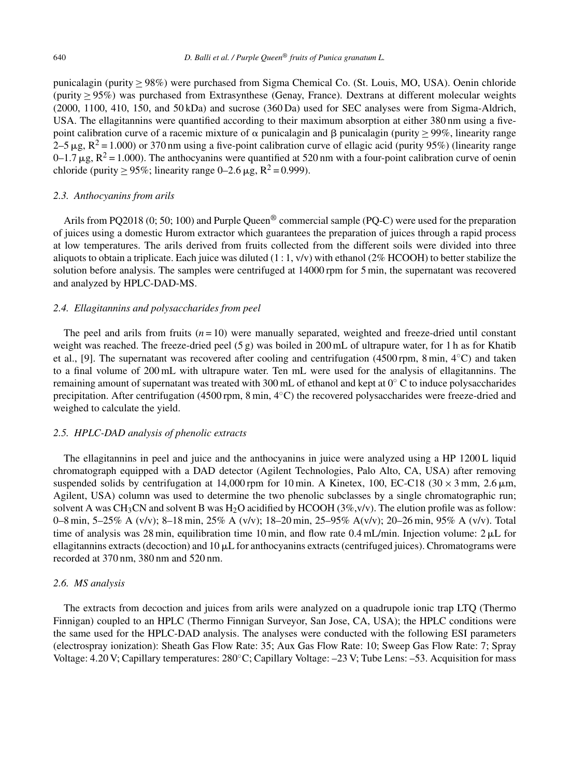punicalagin (purity ≥ 98%) were purchased from Sigma Chemical Co. (St. Louis, MO, USA). Oenin chloride (purity ≥ 95%) was purchased from Extrasynthese (Genay, France). Dextrans at different molecular weights (2000, 1100, 410, 150, and 50 kDa) and sucrose (360 Da) used for SEC analyses were from Sigma-Aldrich, USA. The ellagitannins were quantified according to their maximum absorption at either 380 nm using a fivepoint calibration curve of a racemic mixture of  $\alpha$  punicalagin and  $\beta$  punicalagin (purity  $\geq$  99%, linearity range  $2-5 \mu$ g, R<sup>2</sup> = 1.000) or 370 nm using a five-point calibration curve of ellagic acid (purity 95%) (linearity range 0–1.7  $\mu$ g,  $R^2$  = 1.000). The anthocyanins were quantified at 520 nm with a four-point calibration curve of oenin chloride (purity > 95%; linearity range 0–2.6  $\mu$ g, R<sup>2</sup> = 0.999).

# *2.3. Anthocyanins from arils*

Arils from PQ2018 (0; 50; 100) and Purple Queen<sup>®</sup> commercial sample (PQ-C) were used for the preparation of juices using a domestic Hurom extractor which guarantees the preparation of juices through a rapid process at low temperatures. The arils derived from fruits collected from the different soils were divided into three aliquots to obtain a triplicate. Each juice was diluted  $(1:1, v/v)$  with ethanol (2% HCOOH) to better stabilize the solution before analysis. The samples were centrifuged at 14000 rpm for 5 min, the supernatant was recovered and analyzed by HPLC-DAD-MS.

#### *2.4. Ellagitannins and polysaccharides from peel*

The peel and arils from fruits  $(n = 10)$  were manually separated, weighted and freeze-dried until constant weight was reached. The freeze-dried peel (5 g) was boiled in 200 mL of ultrapure water, for 1 h as for Khatib et al., [9]. The supernatant was recovered after cooling and centrifugation (4500 rpm, 8 min, 4◦C) and taken to a final volume of 200 mL with ultrapure water. Ten mL were used for the analysis of ellagitannins. The remaining amount of supernatant was treated with 300 mL of ethanol and kept at 0◦ C to induce polysaccharides precipitation. After centrifugation (4500 rpm, 8 min, 4◦C) the recovered polysaccharides were freeze-dried and weighed to calculate the yield.

# *2.5. HPLC-DAD analysis of phenolic extracts*

The ellagitannins in peel and juice and the anthocyanins in juice were analyzed using a HP 1200 L liquid chromatograph equipped with a DAD detector (Agilent Technologies, Palo Alto, CA, USA) after removing suspended solids by centrifugation at 14,000 rpm for 10 min. A Kinetex, 100, EC-C18 (30  $\times$  3 mm, 2.6  $\mu$ m, Agilent, USA) column was used to determine the two phenolic subclasses by a single chromatographic run; solvent A was CH<sub>3</sub>CN and solvent B was H<sub>2</sub>O acidified by HCOOH ( $3\%, v/v$ ). The elution profile was as follow: 0–8 min, 5–25% A (v/v); 8–18 min, 25% A (v/v); 18–20 min, 25–95% A(v/v); 20–26 min, 95% A (v/v). Total time of analysis was 28 min, equilibration time 10 min, and flow rate 0.4 mL/min. Injection volume:  $2 \mu L$  for ellagitannins extracts (decoction) and  $10 \mu L$  for anthocyanins extracts (centrifuged juices). Chromatograms were recorded at 370 nm, 380 nm and 520 nm.

#### *2.6. MS analysis*

The extracts from decoction and juices from arils were analyzed on a quadrupole ionic trap LTQ (Thermo Finnigan) coupled to an HPLC (Thermo Finnigan Surveyor, San Jose, CA, USA); the HPLC conditions were the same used for the HPLC-DAD analysis. The analyses were conducted with the following ESI parameters (electrospray ionization): Sheath Gas Flow Rate: 35; Aux Gas Flow Rate: 10; Sweep Gas Flow Rate: 7; Spray Voltage: 4.20 V; Capillary temperatures: 280◦C; Capillary Voltage: –23 V; Tube Lens: –53. Acquisition for mass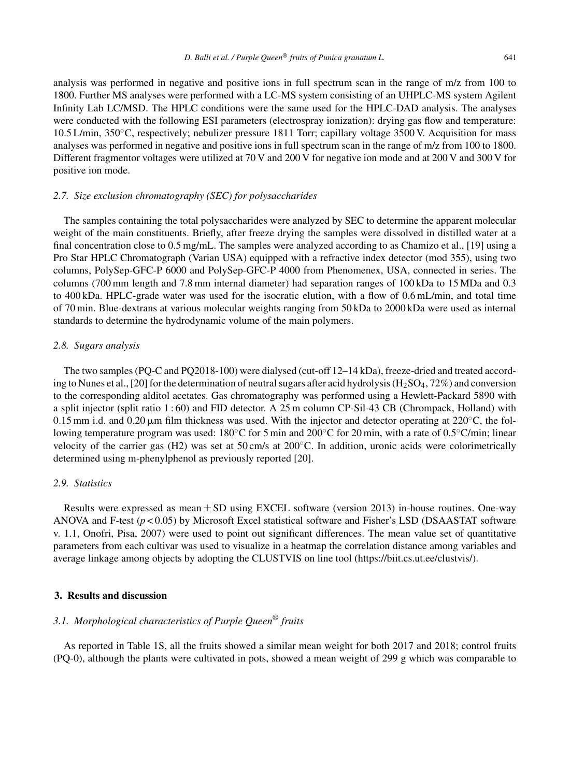analysis was performed in negative and positive ions in full spectrum scan in the range of m/z from 100 to 1800. Further MS analyses were performed with a LC-MS system consisting of an UHPLC-MS system Agilent Infinity Lab LC/MSD. The HPLC conditions were the same used for the HPLC-DAD analysis. The analyses were conducted with the following ESI parameters (electrospray ionization): drying gas flow and temperature: 10.5 L/min, 350◦C, respectively; nebulizer pressure 1811 Torr; capillary voltage 3500 V. Acquisition for mass analyses was performed in negative and positive ions in full spectrum scan in the range of m/z from 100 to 1800. Different fragmentor voltages were utilized at 70 V and 200 V for negative ion mode and at 200 V and 300 V for positive ion mode.

#### *2.7. Size exclusion chromatography (SEC) for polysaccharides*

The samples containing the total polysaccharides were analyzed by SEC to determine the apparent molecular weight of the main constituents. Briefly, after freeze drying the samples were dissolved in distilled water at a final concentration close to 0.5 mg/mL. The samples were analyzed according to as Chamizo et al., [19] using a Pro Star HPLC Chromatograph (Varian USA) equipped with a refractive index detector (mod 355), using two columns, PolySep-GFC-P 6000 and PolySep-GFC-P 4000 from Phenomenex, USA, connected in series. The columns (700 mm length and 7.8 mm internal diameter) had separation ranges of 100 kDa to 15 MDa and 0.3 to 400 kDa. HPLC-grade water was used for the isocratic elution, with a flow of 0.6 mL/min, and total time of 70 min. Blue-dextrans at various molecular weights ranging from 50 kDa to 2000 kDa were used as internal standards to determine the hydrodynamic volume of the main polymers.

#### *2.8. Sugars analysis*

The two samples (PQ-C and PQ2018-100) were dialysed (cut-off 12–14 kDa), freeze-dried and treated according to Nunes et al., [20] for the determination of neutral sugars after acid hydrolysis  $(H_2SO_4, 72\%)$  and conversion to the corresponding alditol acetates. Gas chromatography was performed using a Hewlett-Packard 5890 with a split injector (split ratio 1 : 60) and FID detector. A 25 m column CP-Sil-43 CB (Chrompack, Holland) with 0.15 mm i.d. and 0.20  $\mu$ m film thickness was used. With the injector and detector operating at 220 $\degree$ C, the following temperature program was used: 180◦C for 5 min and 200◦C for 20 min, with a rate of 0.5◦C/min; linear velocity of the carrier gas (H2) was set at 50 cm/s at 200◦C. In addition, uronic acids were colorimetrically determined using m-phenylphenol as previously reported [20].

# *2.9. Statistics*

Results were expressed as mean  $\pm$  SD using EXCEL software (version 2013) in-house routines. One-way ANOVA and F-test (*p* < 0.05) by Microsoft Excel statistical software and Fisher's LSD (DSAASTAT software v. 1.1, Onofri, Pisa, 2007) were used to point out significant differences. The mean value set of quantitative parameters from each cultivar was used to visualize in a heatmap the correlation distance among variables and average linkage among objects by adopting the CLUSTVIS on line tool [\(https://biit.cs.ut.ee/clustvis/](https://biit.cs.ut.ee/clustvis/)).

#### **3. Results and discussion**

# *3.1. Morphological characteristics of Purple Queen*® *fruits*

As reported in Table 1S, all the fruits showed a similar mean weight for both 2017 and 2018; control fruits (PQ-0), although the plants were cultivated in pots, showed a mean weight of 299 g which was comparable to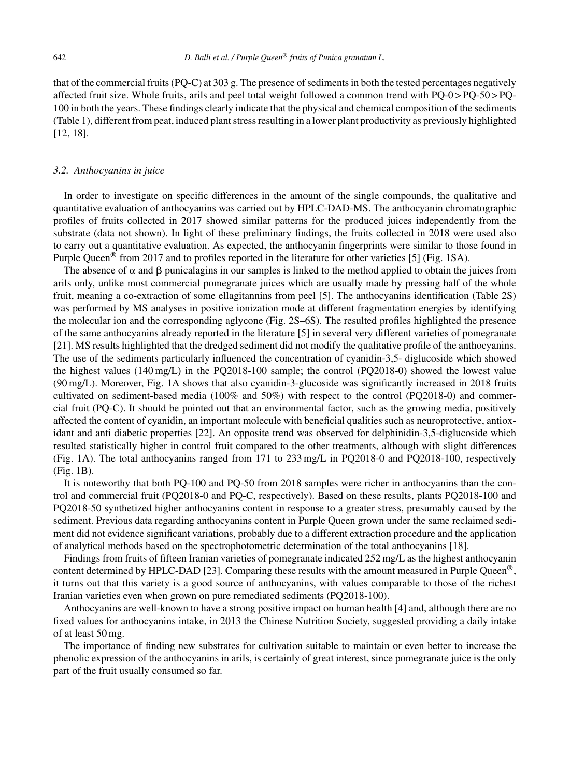that of the commercial fruits (PQ-C) at 303 g. The presence of sediments in both the tested percentages negatively affected fruit size. Whole fruits, arils and peel total weight followed a common trend with PQ-0 > PQ-50 > PQ-100 in both the years. These findings clearly indicate that the physical and chemical composition of the sediments (Table 1), different from peat, induced plant stress resulting in a lower plant productivity as previously highlighted [12, 18].

#### *3.2. Anthocyanins in juice*

In order to investigate on specific differences in the amount of the single compounds, the qualitative and quantitative evaluation of anthocyanins was carried out by HPLC-DAD-MS. The anthocyanin chromatographic profiles of fruits collected in 2017 showed similar patterns for the produced juices independently from the substrate (data not shown). In light of these preliminary findings, the fruits collected in 2018 were used also to carry out a quantitative evaluation. As expected, the anthocyanin fingerprints were similar to those found in Purple Queen® from 2017 and to profiles reported in the literature for other varieties [5] (Fig. 1SA).

The absence of  $\alpha$  and  $\beta$  punicalagins in our samples is linked to the method applied to obtain the juices from arils only, unlike most commercial pomegranate juices which are usually made by pressing half of the whole fruit, meaning a co-extraction of some ellagitannins from peel [5]. The anthocyanins identification (Table 2S) was performed by MS analyses in positive ionization mode at different fragmentation energies by identifying the molecular ion and the corresponding aglycone (Fig. 2S–6S). The resulted profiles highlighted the presence of the same anthocyanins already reported in the literature [5] in several very different varieties of pomegranate [21]. MS results highlighted that the dredged sediment did not modify the qualitative profile of the anthocyanins. The use of the sediments particularly influenced the concentration of cyanidin-3,5- diglucoside which showed the highest values (140 mg/L) in the PQ2018-100 sample; the control (PQ2018-0) showed the lowest value (90 mg/L). Moreover, Fig. 1A shows that also cyanidin-3-glucoside was significantly increased in 2018 fruits cultivated on sediment-based media (100% and 50%) with respect to the control (PQ2018-0) and commercial fruit (PQ-C). It should be pointed out that an environmental factor, such as the growing media, positively affected the content of cyanidin, an important molecule with beneficial qualities such as neuroprotective, antioxidant and anti diabetic properties [22]. An opposite trend was observed for delphinidin-3,5-diglucoside which resulted statistically higher in control fruit compared to the other treatments, although with slight differences (Fig. 1A). The total anthocyanins ranged from 171 to 233 mg/L in PQ2018-0 and PQ2018-100, respectively (Fig. 1B).

It is noteworthy that both PQ-100 and PQ-50 from 2018 samples were richer in anthocyanins than the control and commercial fruit (PQ2018-0 and PQ-C, respectively). Based on these results, plants PQ2018-100 and PQ2018-50 synthetized higher anthocyanins content in response to a greater stress, presumably caused by the sediment. Previous data regarding anthocyanins content in Purple Queen grown under the same reclaimed sediment did not evidence significant variations, probably due to a different extraction procedure and the application of analytical methods based on the spectrophotometric determination of the total anthocyanins [18].

Findings from fruits of fifteen Iranian varieties of pomegranate indicated 252 mg/L as the highest anthocyanin content determined by HPLC-DAD [23]. Comparing these results with the amount measured in Purple Queen<sup>®</sup>, it turns out that this variety is a good source of anthocyanins, with values comparable to those of the richest Iranian varieties even when grown on pure remediated sediments (PQ2018-100).

Anthocyanins are well-known to have a strong positive impact on human health [4] and, although there are no fixed values for anthocyanins intake, in 2013 the Chinese Nutrition Society, suggested providing a daily intake of at least 50 mg.

The importance of finding new substrates for cultivation suitable to maintain or even better to increase the phenolic expression of the anthocyanins in arils, is certainly of great interest, since pomegranate juice is the only part of the fruit usually consumed so far.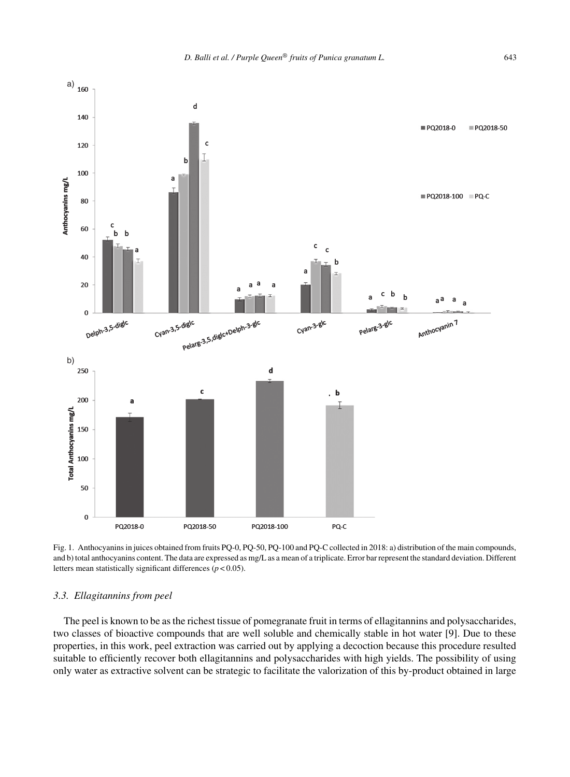

Fig. 1. Anthocyanins in juices obtained from fruits PQ-0, PQ-50, PQ-100 and PQ-C collected in 2018: a) distribution of the main compounds, and b) total anthocyanins content. The data are expressed as mg/L as a mean of a triplicate. Error bar represent the standard deviation. Different letters mean statistically significant differences (*p* < 0.05).

# *3.3. Ellagitannins from peel*

The peel is known to be as the richest tissue of pomegranate fruit in terms of ellagitannins and polysaccharides, two classes of bioactive compounds that are well soluble and chemically stable in hot water [9]. Due to these properties, in this work, peel extraction was carried out by applying a decoction because this procedure resulted suitable to efficiently recover both ellagitannins and polysaccharides with high yields. The possibility of using only water as extractive solvent can be strategic to facilitate the valorization of this by-product obtained in large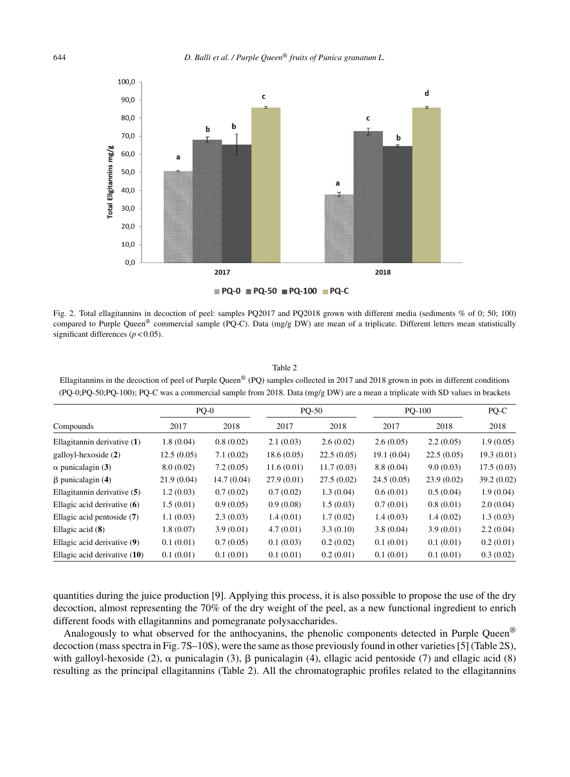

Fig. 2. Total ellagitannins in decoction of peel: samples PQ2017 and PQ2018 grown with different media (sediments % of 0; 50; 100) compared to Purple Queen<sup>®</sup> commercial sample (PQ-C). Data (mg/g DW) are mean of a triplicate. Different letters mean statistically significant differences ( $p < 0.05$ ).

Table 2

Ellagitannins in the decoction of peel of Purple Queen® (PQ) samples collected in 2017 and 2018 grown in pots in different conditions (PQ-0;PQ-50;PQ-100); PQ-C was a commercial sample from 2018. Data (mg/g DW) are a mean a triplicate with SD values in brackets

| Compounds                    | $PQ-0$     |            | <b>PQ-50</b> |            | $PQ-100$   |            | PQ-C       |
|------------------------------|------------|------------|--------------|------------|------------|------------|------------|
|                              | 2017       | 2018       | 2017         | 2018       | 2017       | 2018       | 2018       |
| Ellagitannin derivative (1)  | 1.8(0.04)  | 0.8(0.02)  | 2.1(0.03)    | 2.6(0.02)  | 2.6(0.05)  | 2.2(0.05)  | 1.9(0.05)  |
| galloyl-hexoside (2)         | 12.5(0.05) | 7.1(0.02)  | 18.6(0.05)   | 22.5(0.05) | 19.1(0.04) | 22.5(0.05) | 19.3(0.01) |
| $\alpha$ punicalagin (3)     | 8.0(0.02)  | 7.2(0.05)  | 11.6(0.01)   | 11.7(0.03) | 8.8(0.04)  | 9.0(0.03)  | 17.5(0.03) |
| $\beta$ punicalagin (4)      | 21.9(0.04) | 14.7(0.04) | 27.9(0.01)   | 27.5(0.02) | 24.5(0.05) | 23.9(0.02) | 39.2(0.02) |
| Ellagitannin derivative (5)  | 1.2(0.03)  | 0.7(0.02)  | 0.7(0.02)    | 1.3(0.04)  | 0.6(0.01)  | 0.5(0.04)  | 1.9(0.04)  |
| Ellagic acid derivative (6)  | 1.5(0.01)  | 0.9(0.05)  | 0.9(0.08)    | 1.5(0.03)  | 0.7(0.01)  | 0.8(0.01)  | 2.0(0.04)  |
| Ellagic acid pentoside (7)   | 1.1(0.03)  | 2.3(0.03)  | 1.4(0.01)    | 1.7(0.02)  | 1.4(0.03)  | 1.4(0.02)  | 1.3(0.03)  |
| Ellagic acid $(8)$           | 1.8(0.07)  | 3.9(0.01)  | 4.7(0.01)    | 3.3(0.10)  | 3.8(0.04)  | 3.9(0.01)  | 2.2(0.04)  |
| Ellagic acid derivative (9)  | 0.1(0.01)  | 0.7(0.05)  | 0.1(0.03)    | 0.2(0.02)  | 0.1(0.01)  | 0.1(0.01)  | 0.2(0.01)  |
| Ellagic acid derivative (10) | 0.1(0.01)  | 0.1(0.01)  | 0.1(0.01)    | 0.2(0.01)  | 0.1(0.01)  | 0.1(0.01)  | 0.3(0.02)  |

quantities during the juice production [9]. Applying this process, it is also possible to propose the use of the dry decoction, almost representing the 70% of the dry weight of the peel, as a new functional ingredient to enrich different foods with ellagitannins and pomegranate polysaccharides.

Analogously to what observed for the anthocyanins, the phenolic components detected in Purple Queen® decoction (mass spectra in Fig. 7S–10S), were the same as those previously found in other varieties [5] (Table 2S), with galloyl-hexoside (2),  $\alpha$  punicalagin (3),  $\beta$  punicalagin (4), ellagic acid pentoside (7) and ellagic acid (8) resulting as the principal ellagitannins (Table 2). All the chromatographic profiles related to the ellagitannins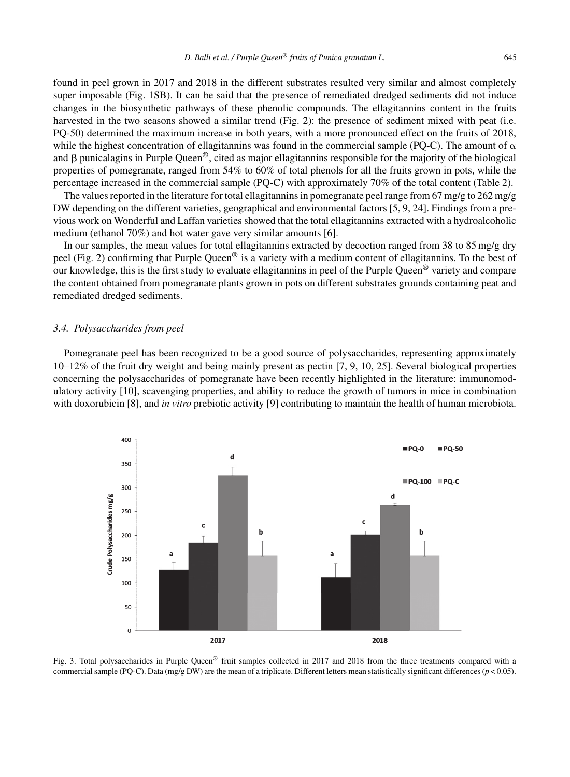found in peel grown in 2017 and 2018 in the different substrates resulted very similar and almost completely super imposable (Fig. 1SB). It can be said that the presence of remediated dredged sediments did not induce changes in the biosynthetic pathways of these phenolic compounds. The ellagitannins content in the fruits harvested in the two seasons showed a similar trend (Fig. 2): the presence of sediment mixed with peat (i.e. PQ-50) determined the maximum increase in both years, with a more pronounced effect on the fruits of 2018, while the highest concentration of ellagitannins was found in the commercial sample (PQ-C). The amount of  $\alpha$ and  $\beta$  punicalagins in Purple Queen<sup>®</sup>, cited as major ellagitannins responsible for the majority of the biological properties of pomegranate, ranged from 54% to 60% of total phenols for all the fruits grown in pots, while the percentage increased in the commercial sample (PQ-C) with approximately 70% of the total content (Table 2).

The values reported in the literature for total ellagitannins in pomegranate peel range from 67 mg/g to 262 mg/g DW depending on the different varieties, geographical and environmental factors [5, 9, 24]. Findings from a previous work on Wonderful and Laffan varieties showed that the total ellagitannins extracted with a hydroalcoholic medium (ethanol 70%) and hot water gave very similar amounts [6].

In our samples, the mean values for total ellagitannins extracted by decoction ranged from 38 to 85 mg/g dry peel (Fig. 2) confirming that Purple Queen<sup>®</sup> is a variety with a medium content of ellagitannins. To the best of our knowledge, this is the first study to evaluate ellagitannins in peel of the Purple Queen<sup>®</sup> variety and compare the content obtained from pomegranate plants grown in pots on different substrates grounds containing peat and remediated dredged sediments.

#### *3.4. Polysaccharides from peel*

Pomegranate peel has been recognized to be a good source of polysaccharides, representing approximately 10–12% of the fruit dry weight and being mainly present as pectin [7, 9, 10, 25]. Several biological properties concerning the polysaccharides of pomegranate have been recently highlighted in the literature: immunomodulatory activity [10], scavenging properties, and ability to reduce the growth of tumors in mice in combination with doxorubicin [8], and *in vitro* prebiotic activity [9] contributing to maintain the health of human microbiota.



Fig. 3. Total polysaccharides in Purple Queen® fruit samples collected in 2017 and 2018 from the three treatments compared with a commercial sample (PQ-C). Data (mg/g DW) are the mean of a triplicate. Different letters mean statistically significant differences  $(p < 0.05)$ .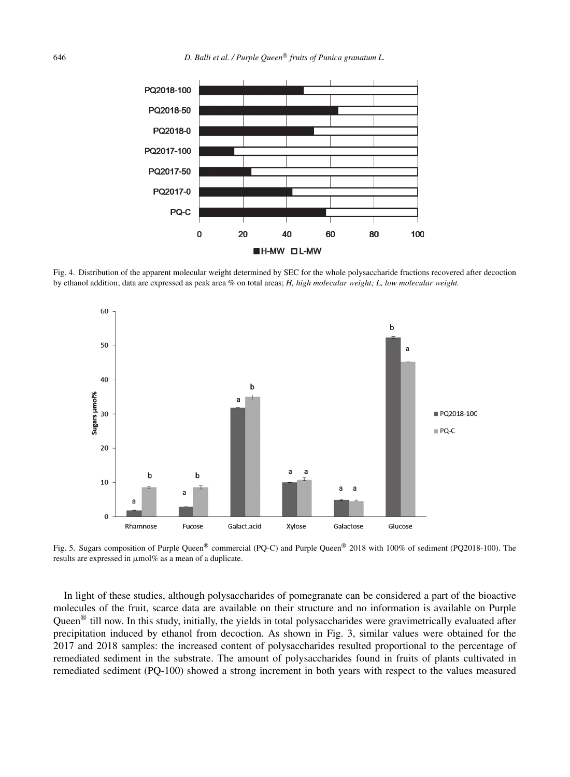

Fig. 4. Distribution of the apparent molecular weight determined by SEC for the whole polysaccharide fractions recovered after decoction by ethanol addition; data are expressed as peak area % on total areas; *H, high molecular weight; L, low molecular weight.*



Fig. 5. Sugars composition of Purple Queen® commercial (PQ-C) and Purple Queen® 2018 with 100% of sediment (PQ2018-100). The results are expressed in  $\mu$ mol% as a mean of a duplicate.

In light of these studies, although polysaccharides of pomegranate can be considered a part of the bioactive molecules of the fruit, scarce data are available on their structure and no information is available on Purple Queen<sup>®</sup> till now. In this study, initially, the yields in total polysaccharides were gravimetrically evaluated after precipitation induced by ethanol from decoction. As shown in Fig. 3, similar values were obtained for the 2017 and 2018 samples: the increased content of polysaccharides resulted proportional to the percentage of remediated sediment in the substrate. The amount of polysaccharides found in fruits of plants cultivated in remediated sediment (PQ-100) showed a strong increment in both years with respect to the values measured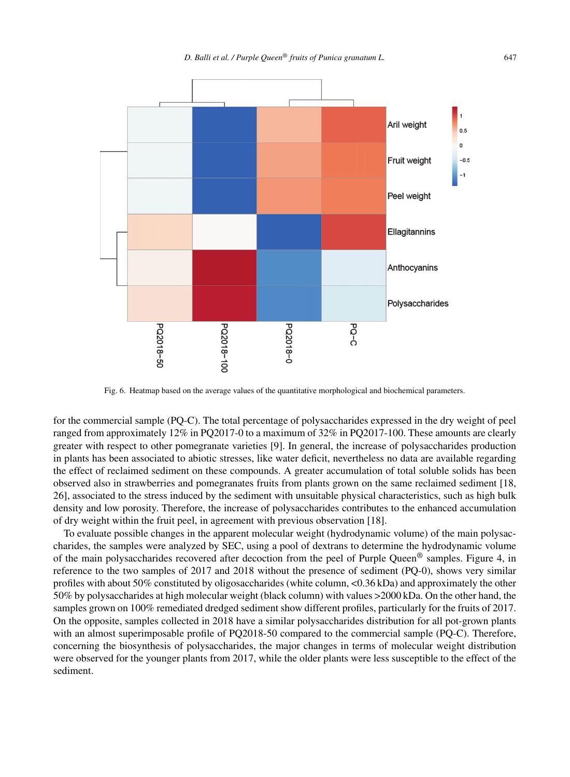

Fig. 6. Heatmap based on the average values of the quantitative morphological and biochemical parameters.

for the commercial sample (PQ-C). The total percentage of polysaccharides expressed in the dry weight of peel ranged from approximately 12% in PQ2017-0 to a maximum of 32% in PQ2017-100. These amounts are clearly greater with respect to other pomegranate varieties [9]. In general, the increase of polysaccharides production in plants has been associated to abiotic stresses, like water deficit, nevertheless no data are available regarding the effect of reclaimed sediment on these compounds. A greater accumulation of total soluble solids has been observed also in strawberries and pomegranates fruits from plants grown on the same reclaimed sediment [18, 26], associated to the stress induced by the sediment with unsuitable physical characteristics, such as high bulk density and low porosity. Therefore, the increase of polysaccharides contributes to the enhanced accumulation of dry weight within the fruit peel, in agreement with previous observation [18].

To evaluate possible changes in the apparent molecular weight (hydrodynamic volume) of the main polysaccharides, the samples were analyzed by SEC, using a pool of dextrans to determine the hydrodynamic volume of the main polysaccharides recovered after decoction from the peel of Purple Queen<sup>®</sup> samples. Figure 4, in reference to the two samples of 2017 and 2018 without the presence of sediment (PQ-0), shows very similar profiles with about 50% constituted by oligosaccharides (white column, <0.36 kDa) and approximately the other 50% by polysaccharides at high molecular weight (black column) with values >2000 kDa. On the other hand, the samples grown on 100% remediated dredged sediment show different profiles, particularly for the fruits of 2017. On the opposite, samples collected in 2018 have a similar polysaccharides distribution for all pot-grown plants with an almost superimposable profile of PQ2018-50 compared to the commercial sample (PQ-C). Therefore, concerning the biosynthesis of polysaccharides, the major changes in terms of molecular weight distribution were observed for the younger plants from 2017, while the older plants were less susceptible to the effect of the sediment.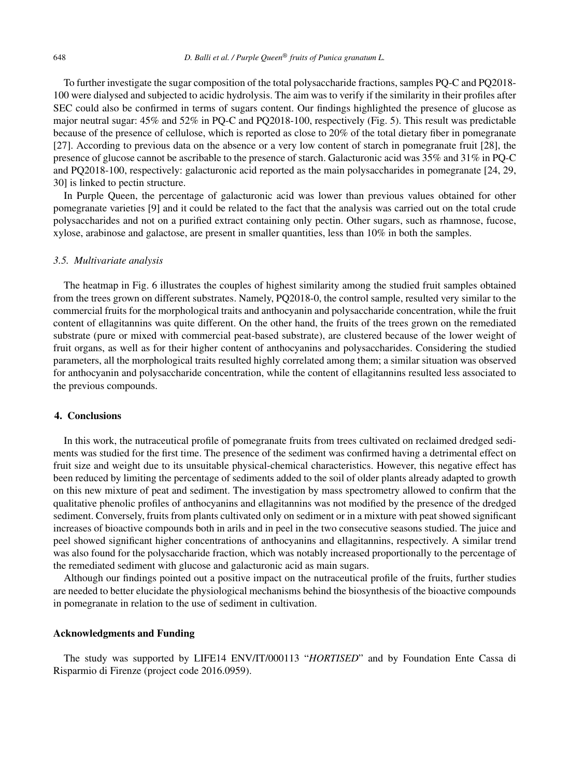To further investigate the sugar composition of the total polysaccharide fractions, samples PQ-C and PQ2018- 100 were dialysed and subjected to acidic hydrolysis. The aim was to verify if the similarity in their profiles after SEC could also be confirmed in terms of sugars content. Our findings highlighted the presence of glucose as major neutral sugar: 45% and 52% in PQ-C and PQ2018-100, respectively (Fig. 5). This result was predictable because of the presence of cellulose, which is reported as close to 20% of the total dietary fiber in pomegranate [27]. According to previous data on the absence or a very low content of starch in pomegranate fruit [28], the presence of glucose cannot be ascribable to the presence of starch. Galacturonic acid was 35% and 31% in PQ-C and PQ2018-100, respectively: galacturonic acid reported as the main polysaccharides in pomegranate [24, 29, 30] is linked to pectin structure.

In Purple Queen, the percentage of galacturonic acid was lower than previous values obtained for other pomegranate varieties [9] and it could be related to the fact that the analysis was carried out on the total crude polysaccharides and not on a purified extract containing only pectin. Other sugars, such as rhamnose, fucose, xylose, arabinose and galactose, are present in smaller quantities, less than 10% in both the samples.

# *3.5. Multivariate analysis*

The heatmap in Fig. 6 illustrates the couples of highest similarity among the studied fruit samples obtained from the trees grown on different substrates. Namely, PQ2018-0, the control sample, resulted very similar to the commercial fruits for the morphological traits and anthocyanin and polysaccharide concentration, while the fruit content of ellagitannins was quite different. On the other hand, the fruits of the trees grown on the remediated substrate (pure or mixed with commercial peat-based substrate), are clustered because of the lower weight of fruit organs, as well as for their higher content of anthocyanins and polysaccharides. Considering the studied parameters, all the morphological traits resulted highly correlated among them; a similar situation was observed for anthocyanin and polysaccharide concentration, while the content of ellagitannins resulted less associated to the previous compounds.

#### **4. Conclusions**

In this work, the nutraceutical profile of pomegranate fruits from trees cultivated on reclaimed dredged sediments was studied for the first time. The presence of the sediment was confirmed having a detrimental effect on fruit size and weight due to its unsuitable physical-chemical characteristics. However, this negative effect has been reduced by limiting the percentage of sediments added to the soil of older plants already adapted to growth on this new mixture of peat and sediment. The investigation by mass spectrometry allowed to confirm that the qualitative phenolic profiles of anthocyanins and ellagitannins was not modified by the presence of the dredged sediment. Conversely, fruits from plants cultivated only on sediment or in a mixture with peat showed significant increases of bioactive compounds both in arils and in peel in the two consecutive seasons studied. The juice and peel showed significant higher concentrations of anthocyanins and ellagitannins, respectively. A similar trend was also found for the polysaccharide fraction, which was notably increased proportionally to the percentage of the remediated sediment with glucose and galacturonic acid as main sugars.

Although our findings pointed out a positive impact on the nutraceutical profile of the fruits, further studies are needed to better elucidate the physiological mechanisms behind the biosynthesis of the bioactive compounds in pomegranate in relation to the use of sediment in cultivation.

# **Acknowledgments and Funding**

The study was supported by LIFE14 ENV/IT/000113 "*HORTISED*" and by Foundation Ente Cassa di Risparmio di Firenze (project code 2016.0959).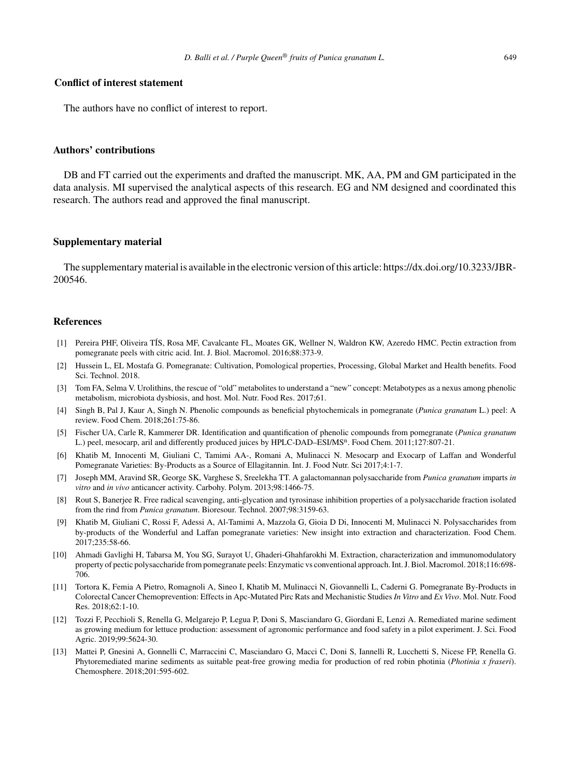# **Conflict of interest statement**

The authors have no conflict of interest to report.

#### **Authors' contributions**

DB and FT carried out the experiments and drafted the manuscript. MK, AA, PM and GM participated in the data analysis. MI supervised the analytical aspects of this research. EG and NM designed and coordinated this research. The authors read and approved the final manuscript.

# **Supplementary material**

The supplementary material is available in the electronic version of this article: [https://dx.doi.org/10.3233/JBR-](https://dx.doi.org/10.3233/JBR-200546)200546.

#### **References**

- [1] Pereira PHF, Oliveira TÍS, Rosa MF, Cavalcante FL, Moates GK, Wellner N, Waldron KW, Azeredo HMC. Pectin extraction from pomegranate peels with citric acid. Int. J. Biol. Macromol. 2016;88:373-9.
- [2] Hussein L, EL Mostafa G. Pomegranate: Cultivation, Pomological properties, Processing, Global Market and Health benefits. Food Sci. Technol. 2018.
- [3] Tom FA, Selma V. Urolithins, the rescue of "old" metabolites to understand a "new" concept: Metabotypes as a nexus among phenolic metabolism, microbiota dysbiosis, and host. Mol. Nutr. Food Res. 2017;61.
- [4] Singh B, Pal J, Kaur A, Singh N. Phenolic compounds as beneficial phytochemicals in pomegranate (*Punica granatum* L.) peel: A review. Food Chem. 2018;261:75-86.
- [5] Fischer UA, Carle R, Kammerer DR. Identification and quantification of phenolic compounds from pomegranate (*Punica granatum* L.) peel, mesocarp, aril and differently produced juices by HPLC-DAD–ESI/MS<sup>n</sup>. Food Chem. 2011;127:807-21.
- [6] Khatib M, Innocenti M, Giuliani C, Tamimi AA-, Romani A, Mulinacci N. Mesocarp and Exocarp of Laffan and Wonderful Pomegranate Varieties: By-Products as a Source of Ellagitannin. Int. J. Food Nutr. Sci 2017;4:1-7.
- [7] Joseph MM, Aravind SR, George SK, Varghese S, Sreelekha TT. A galactomannan polysaccharide from *Punica granatum* imparts *in vitro* and *in vivo* anticancer activity. Carbohy. Polym. 2013;98:1466-75.
- [8] Rout S, Banerjee R. Free radical scavenging, anti-glycation and tyrosinase inhibition properties of a polysaccharide fraction isolated from the rind from *Punica granatum*. Bioresour. Technol. 2007;98:3159-63.
- [9] Khatib M, Giuliani C, Rossi F, Adessi A, Al-Tamimi A, Mazzola G, Gioia D Di, Innocenti M, Mulinacci N. Polysaccharides from by-products of the Wonderful and Laffan pomegranate varieties: New insight into extraction and characterization. Food Chem. 2017;235:58-66.
- [10] Ahmadi Gavlighi H, Tabarsa M, You SG, Surayot U, Ghaderi-Ghahfarokhi M. Extraction, characterization and immunomodulatory property of pectic polysaccharide from pomegranate peels: Enzymatic vs conventional approach. Int. J. Biol. Macromol. 2018;116:698- 706.
- [11] Tortora K, Femia A Pietro, Romagnoli A, Sineo I, Khatib M, Mulinacci N, Giovannelli L, Caderni G. Pomegranate By-Products in Colorectal Cancer Chemoprevention: Effects in Apc-Mutated Pirc Rats and Mechanistic Studies *In Vitro* and *Ex Vivo*. Mol. Nutr. Food Res. 2018;62:1-10.
- [12] Tozzi F, Pecchioli S, Renella G, Melgarejo P, Legua P, Doni S, Masciandaro G, Giordani E, Lenzi A. Remediated marine sediment as growing medium for lettuce production: assessment of agronomic performance and food safety in a pilot experiment. J. Sci. Food Agric. 2019;99:5624-30.
- [13] Mattei P, Gnesini A, Gonnelli C, Marraccini C, Masciandaro G, Macci C, Doni S, Iannelli R, Lucchetti S, Nicese FP, Renella G. Phytoremediated marine sediments as suitable peat-free growing media for production of red robin photinia (*Photinia x fraseri*). Chemosphere. 2018;201:595-602.